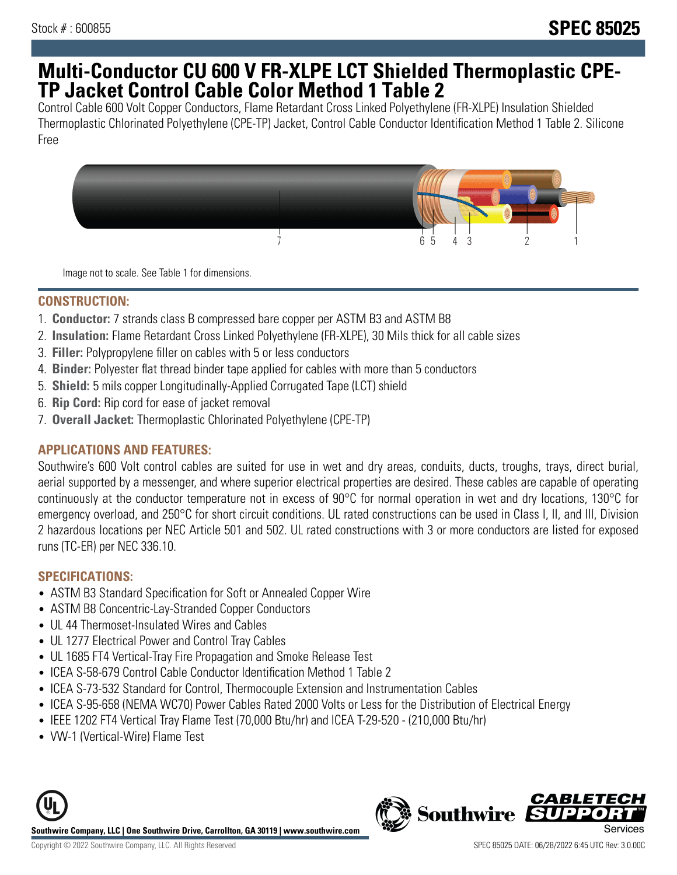# **Multi-Conductor CU 600 V FR-XLPE LCT Shielded Thermoplastic CPE-TP Jacket Control Cable Color Method 1 Table 2**

Control Cable 600 Volt Copper Conductors, Flame Retardant Cross Linked Polyethylene (FR-XLPE) Insulation Shielded Thermoplastic Chlorinated Polyethylene (CPE-TP) Jacket, Control Cable Conductor Identification Method 1 Table 2. Silicone Free



Image not to scale. See Table 1 for dimensions.

#### **CONSTRUCTION:**

- 1. **Conductor:** 7 strands class B compressed bare copper per ASTM B3 and ASTM B8
- 2. **Insulation:** Flame Retardant Cross Linked Polyethylene (FR-XLPE), 30 Mils thick for all cable sizes
- 3. **Filler:** Polypropylene filler on cables with 5 or less conductors
- 4. **Binder:** Polyester flat thread binder tape applied for cables with more than 5 conductors
- 5. **Shield:** 5 mils copper Longitudinally-Applied Corrugated Tape (LCT) shield
- 6. **Rip Cord:** Rip cord for ease of jacket removal
- 7. **Overall Jacket:** Thermoplastic Chlorinated Polyethylene (CPE-TP)

### **APPLICATIONS AND FEATURES:**

Southwire's 600 Volt control cables are suited for use in wet and dry areas, conduits, ducts, troughs, trays, direct burial, aerial supported by a messenger, and where superior electrical properties are desired. These cables are capable of operating continuously at the conductor temperature not in excess of 90°C for normal operation in wet and dry locations, 130°C for emergency overload, and 250°C for short circuit conditions. UL rated constructions can be used in Class I, II, and III, Division 2 hazardous locations per NEC Article 501 and 502. UL rated constructions with 3 or more conductors are listed for exposed runs (TC-ER) per NEC 336.10.

### **SPECIFICATIONS:**

- ASTM B3 Standard Specification for Soft or Annealed Copper Wire
- ASTM B8 Concentric-Lay-Stranded Copper Conductors
- UL 44 Thermoset-Insulated Wires and Cables
- UL 1277 Electrical Power and Control Tray Cables
- UL 1685 FT4 Vertical-Tray Fire Propagation and Smoke Release Test
- ICEA S-58-679 Control Cable Conductor Identification Method 1 Table 2
- ICEA S-73-532 Standard for Control, Thermocouple Extension and Instrumentation Cables
- ICEA S-95-658 (NEMA WC70) Power Cables Rated 2000 Volts or Less for the Distribution of Electrical Energy
- IEEE 1202 FT4 Vertical Tray Flame Test (70,000 Btu/hr) and ICEA T-29-520 (210,000 Btu/hr)
- VW-1 (Vertical-Wire) Flame Test



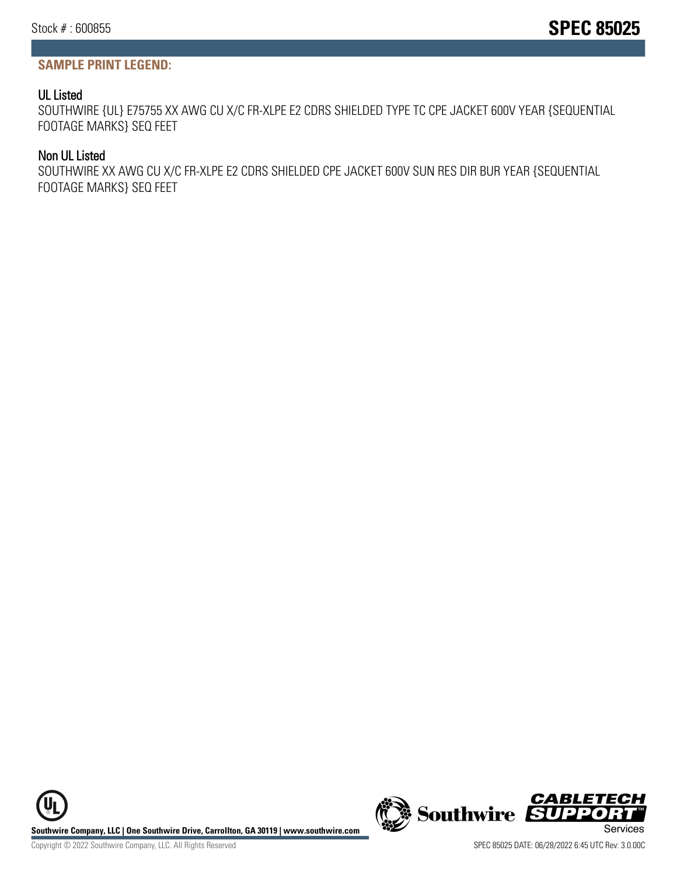## **SAMPLE PRINT LEGEND:**

## UL Listed

SOUTHWIRE {UL} E75755 XX AWG CU X/C FR-XLPE E2 CDRS SHIELDED TYPE TC CPE JACKET 600V YEAR {SEQUENTIAL FOOTAGE MARKS} SEQ FEET

## Non UL Listed

SOUTHWIRE XX AWG CU X/C FR-XLPE E2 CDRS SHIELDED CPE JACKET 600V SUN RES DIR BUR YEAR {SEQUENTIAL FOOTAGE MARKS} SEQ FEET